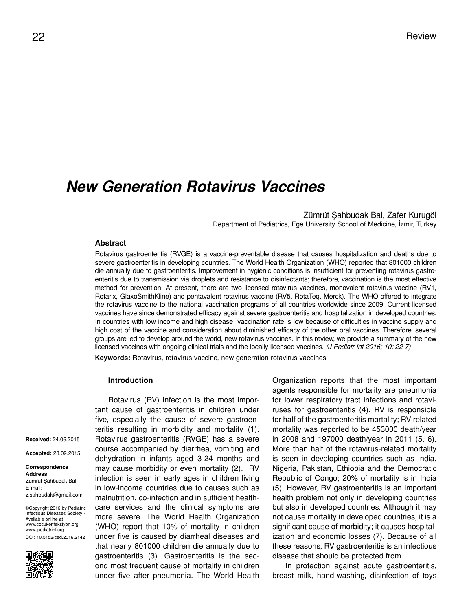# *New Generation Rotavirus Vaccines*

Zümrüt Şahbudak Bal, Zafer Kurugöl Department of Pediatrics, Ege University School of Medicine, İzmir, Turkey

## **Abstract**

Rotavirus gastroenteritis (RVGE) is a vaccine-preventable disease that causes hospitalization and deaths due to severe gastroenteritis in developing countries. The World Health Organization (WHO) reported that 801000 children die annually due to gastroenteritis. Improvement in hygienic conditions is insufficient for preventing rotavirus gastroenteritis due to transmission via droplets and resistance to disinfectants; therefore, vaccination is the most effective method for prevention. At present, there are two licensed rotavirus vaccines, monovalent rotavirus vaccine (RV1, Rotarix, GlaxoSmithKline) and pentavalent rotavirus vaccine (RV5, RotaTeq, Merck). The WHO offered to integrate the rotavirus vaccine to the national vaccination programs of all countries worldwide since 2009. Current licensed vaccines have since demonstrated efficacy against severe gastroenteritis and hospitalization in developed countries. In countries with low income and high disease vaccination rate is low because of difficulties in vaccine supply and high cost of the vaccine and consideration about diminished efficacy of the other oral vaccines. Therefore, several groups are led to develop around the world, new rotavirus vaccines. In this review, we provide a summary of the new licensed vaccines with ongoing clinical trials and the locally licensed vaccines. (J Pediatr Inf 2016; 10: 22-7)

**Keywords:** Rotavirus, rotavirus vaccine, new generation rotavirus vaccines

### **Introduction**

**Received:** 24.06.2015

**Accepted:** 28.09.2015

#### **Correspondence Address** Zümrüt Şahbudak Bal E-mail: z.sahbudak@gmail.com

©Copyright 2016 by Pediatric Infectious Diseases Society - Available online at www.cocukenfeksiyon.org www.jpediatrinf.org DOI: 10.5152/ced.2016.2142



Rotavirus (RV) infection is the most important cause of gastroenteritis in children under five, especially the cause of severe gastroenteritis resulting in morbidity and mortality (1). Rotavirus gastroenteritis (RVGE) has a severe course accompanied by diarrhea, vomiting and dehydration in infants aged 3-24 months and may cause morbidity or even mortality (2). RV infection is seen in early ages in children living in low-income countries due to causes such as malnutrition, co-infection and in sufficient healthcare services and the clinical symptoms are more severe. The World Health Organization (WHO) report that 10% of mortality in children under five is caused by diarrheal diseases and that nearly 801000 children die annually due to gastroenteritis (3). Gastroenteritis is the second most frequent cause of mortality in children under five after pneumonia. The World Health Organization reports that the most important agents responsible for mortality are pneumonia for lower respiratory tract infections and rotaviruses for gastroenteritis (4). RV is responsible for half of the gastroenteritis mortality; RV-related mortality was reported to be 453000 death/year in 2008 and 197000 death/year in 2011 (5, 6). More than half of the rotavirus-related mortality is seen in developing countries such as India, Nigeria, Pakistan, Ethiopia and the Democratic Republic of Congo; 20% of mortality is in India (5). However, RV gastroenteritis is an important health problem not only in developing countries but also in developed countries. Although it may not cause mortality in developed countries, it is a significant cause of morbidity; it causes hospitalization and economic losses (7). Because of all these reasons, RV gastroenteritis is an infectious disease that should be protected from.

In protection against acute gastroenteritis, breast milk, hand-washing, disinfection of toys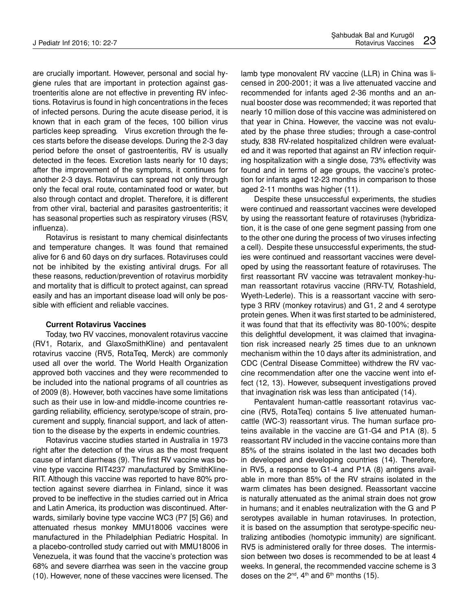are crucially important. However, personal and social hygiene rules that are important in protection against gastroenteritis alone are not effective in preventing RV infections. Rotavirus is found in high concentrations in the feces of infected persons. During the acute disease period, it is known that in each gram of the feces, 100 billion virus particles keep spreading. Virus excretion through the feces starts before the disease develops. During the 2-3 day period before the onset of gastroenteritis, RV is usually detected in the feces. Excretion lasts nearly for 10 days; after the improvement of the symptoms, it continues for another 2-3 days. Rotavirus can spread not only through only the fecal oral route, contaminated food or water, but also through contact and droplet. Therefore, it is different from other viral, bacterial and parasites gastroenteritis; it has seasonal properties such as respiratory viruses (RSV, influenza).

Rotavirus is resistant to many chemical disinfectants and temperature changes. It was found that remained alive for 6 and 60 days on dry surfaces. Rotaviruses could not be inhibited by the existing antiviral drugs. For all these reasons, reduction/prevention of rotavirus morbidity and mortality that is difficult to protect against, can spread easily and has an important disease load will only be possible with efficient and reliable vaccines.

## **Current Rotavirus Vaccines**

Today, two RV vaccines, monovalent rotavirus vaccine (RV1, Rotarix, and GlaxoSmithKline) and pentavalent rotavirus vaccine (RV5, RotaTeq, Merck) are commonly used all over the world. The World Health Organization approved both vaccines and they were recommended to be included into the national programs of all countries as of 2009 (8). However, both vaccines have some limitations such as their use in low-and middle-income countries regarding reliability, efficiency, serotype/scope of strain, procurement and supply, financial support, and lack of attention to the disease by the experts in endemic countries.

Rotavirus vaccine studies started in Australia in 1973 right after the detection of the virus as the most frequent cause of infant diarrheas (9). The first RV vaccine was bovine type vaccine RIT4237 manufactured by SmithKline-RIT. Although this vaccine was reported to have 80% protection against severe diarrhea in Finland, since it was proved to be ineffective in the studies carried out in Africa and Latin America, its production was discontinued. Afterwards, similarly bovine type vaccine WC3 (P7 [5] G6) and attenuated rhesus monkey MMU18006 vaccines were manufactured in the Philadelphian Pediatric Hospital. In a placebo-controlled study carried out with MMU18006 in Venezuela, it was found that the vaccine's protection was 68% and severe diarrhea was seen in the vaccine group (10). However, none of these vaccines were licensed. The

lamb type monovalent RV vaccine (LLR) in China was licensed in 200-2001; it was a live attenuated vaccine and recommended for infants aged 2-36 months and an annual booster dose was recommended; it was reported that nearly 10 million dose of this vaccine was administered on that year in China. However, the vaccine was not evaluated by the phase three studies; through a case-control study, 838 RV-related hospitalized children were evaluated and it was reported that against an RV infection requiring hospitalization with a single dose, 73% effectivity was found and in terms of age groups, the vaccine's protection for infants aged 12-23 months in comparison to those aged 2-11 months was higher (11).

Despite these unsuccessful experiments, the studies were continued and reassortant vaccines were developed by using the reassortant feature of rotaviruses (hybridization, it is the case of one gene segment passing from one to the other one during the process of two viruses infecting a cell). Despite these unsuccessful experiments, the studies were continued and reassortant vaccines were developed by using the reassortant feature of rotaviruses. The first reassortant RV vaccine was tetravalent monkey-human reassortant rotavirus vaccine (RRV-TV, Rotashield, Wyeth-Lederle). This is a reassortant vaccine with serotype 3 RRV (monkey rotavirus) and G1, 2 and 4 serotype protein genes. When it was first started to be administered, it was found that that its effectivity was 80-100%; despite this delightful development, it was claimed that invagination risk increased nearly 25 times due to an unknown mechanism within the 10 days after its administration, and CDC (Central Disease Committee) withdrew the RV vaccine recommendation after one the vaccine went into effect (12, 13). However, subsequent investigations proved that invagination risk was less than anticipated (14).

Pentavalent human-cattle reassortant rotavirus vaccine (RV5, RotaTeq) contains 5 live attenuated humancattle (WC-3) reassortant virus. The human surface proteins available in the vaccine are G1-G4 and P1A (8). 5 reassortant RV included in the vaccine contains more than 85% of the strains isolated in the last two decades both in developed and developing countries (14). Therefore, in RV5, a response to G1-4 and P1A (8) antigens available in more than 85% of the RV strains isolated in the warm climates has been designed. Reassortant vaccine is naturally attenuated as the animal strain does not grow in humans; and it enables neutralization with the G and P serotypes available in human rotaviruses. In protection, it is based on the assumption that serotype-specific neutralizing antibodies (homotypic immunity) are significant. RV5 is administered orally for three doses. The intermission between two doses is recommended to be at least 4 weeks. In general, the recommended vaccine scheme is 3 doses on the  $2^{nd}$ ,  $4^{th}$  and  $6^{th}$  months (15).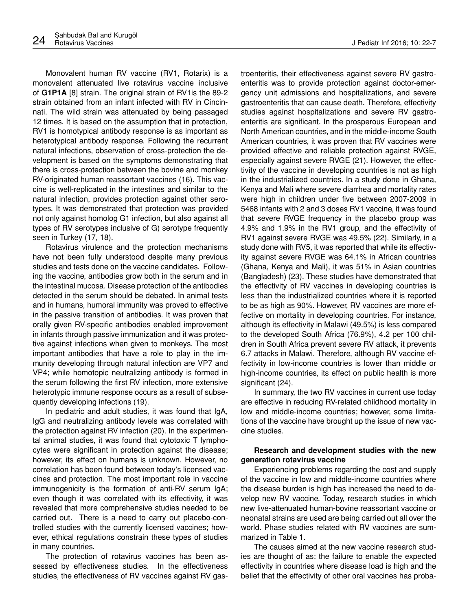Monovalent human RV vaccine (RV1, Rotarix) is a monovalent attenuated live rotavirus vaccine inclusive of **G1P1A** [8] strain. The original strain of RV1is the 89-2 strain obtained from an infant infected with RV in Cincinnati. The wild strain was attenuated by being passaged 12 times. It is based on the assumption that in protection, RV1 is homotypical antibody response is as important as heterotypical antibody response. Following the recurrent natural infections, observation of cross-protection the development is based on the symptoms demonstrating that there is cross-protection between the bovine and monkey RV-originated human reassortant vaccines (16). This vaccine is well-replicated in the intestines and similar to the natural infection, provides protection against other serotypes. It was demonstrated that protection was provided

seen in Turkey (17, 18). Rotavirus virulence and the protection mechanisms have not been fully understood despite many previous studies and tests done on the vaccine candidates. Following the vaccine, antibodies grow both in the serum and in the intestinal mucosa. Disease protection of the antibodies detected in the serum should be debated. In animal tests and in humans, humoral immunity was proved to effective in the passive transition of antibodies. It was proven that orally given RV-specific antibodies enabled improvement in infants through passive immunization and it was protective against infections when given to monkeys. The most important antibodies that have a role to play in the immunity developing through natural infection are VP7 and VP4; while homotopic neutralizing antibody is formed in the serum following the first RV infection, more extensive heterotypic immune response occurs as a result of subsequently developing infections (19).

not only against homolog G1 infection, but also against all types of RV serotypes inclusive of G) serotype frequently

In pediatric and adult studies, it was found that IgA, IgG and neutralizing antibody levels was correlated with the protection against RV infection (20). In the experimental animal studies, it was found that cytotoxic T lymphocytes were significant in protection against the disease; however, its effect on humans is unknown. However, no correlation has been found between today's licensed vaccines and protection. The most important role in vaccine immunogenicity is the formation of anti-RV serum IgA; even though it was correlated with its effectivity, it was revealed that more comprehensive studies needed to be carried out. There is a need to carry out placebo-controlled studies with the currently licensed vaccines; however, ethical regulations constrain these types of studies in many countries.

The protection of rotavirus vaccines has been assessed by effectiveness studies. In the effectiveness studies, the effectiveness of RV vaccines against RV gastroenteritis, their effectiveness against severe RV gastroenteritis was to provide protection against doctor-emergency unit admissions and hospitalizations, and severe gastroenteritis that can cause death. Therefore, effectivity studies against hospitalizations and severe RV gastroenteritis are significant. In the prosperous European and North American countries, and in the middle-income South American countries, it was proven that RV vaccines were provided effective and reliable protection against RVGE, especially against severe RVGE (21). However, the effectivity of the vaccine in developing countries is not as high in the industrialized countries. In a study done in Ghana, Kenya and Mali where severe diarrhea and mortality rates were high in children under five between 2007-2009 in 5468 infants with 2 and 3 doses RV1 vaccine, it was found that severe RVGE frequency in the placebo group was 4.9% and 1.9% in the RV1 group, and the effectivity of RV1 against severe RVGE was 49.5% (22). Similarly, in a study done with RV5, it was reported that while its effectivity against severe RVGE was 64.1% in African countries (Ghana, Kenya and Mali), it was 51% in Asian countries (Bangladesh) (23). These studies have demonstrated that the effectivity of RV vaccines in developing countries is less than the industrialized countries where it is reported to be as high as 90%. However, RV vaccines are more effective on mortality in developing countries. For instance, although its effectivity in Malawi (49.5%) is less compared to the developed South Africa (76.9%), 4.2 per 100 children in South Africa prevent severe RV attack, it prevents 6.7 attacks in Malawi. Therefore, although RV vaccine effectivity in low-income countries is lower than middle or high-income countries, its effect on public health is more significant (24).

In summary, the two RV vaccines in current use today are effective in reducing RV-related childhood mortality in low and middle-income countries; however, some limitations of the vaccine have brought up the issue of new vaccine studies.

# **Research and development studies with the new generation rotavirus vaccine**

Experiencing problems regarding the cost and supply of the vaccine in low and middle-income countries where the disease burden is high has increased the need to develop new RV vaccine. Today, research studies in which new live-attenuated human-bovine reassortant vaccine or neonatal strains are used are being carried out all over the world. Phase studies related with RV vaccines are summarized in Table 1.

The causes aimed at the new vaccine research studies are thought of as: the failure to enable the expected effectivity in countries where disease load is high and the belief that the effectivity of other oral vaccines has proba-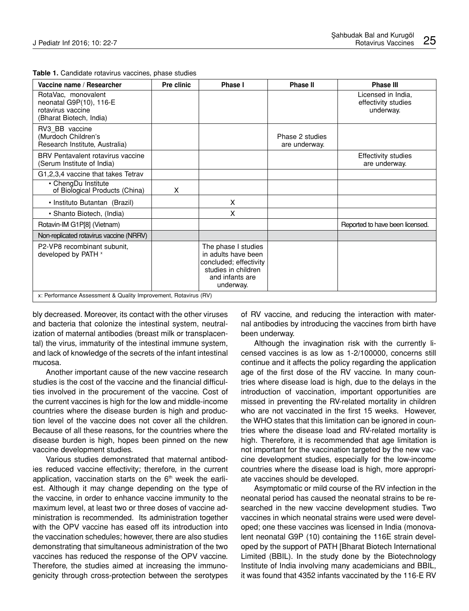| Vaccine name / Researcher                                                                      | Pre clinic | Phase I                                                                                                                     | Phase II                         | Phase III                                              |
|------------------------------------------------------------------------------------------------|------------|-----------------------------------------------------------------------------------------------------------------------------|----------------------------------|--------------------------------------------------------|
| RotaVac, monovalent<br>neonatal G9P(10), 116-E<br>rotavirus vaccine<br>(Bharat Biotech, India) |            |                                                                                                                             |                                  | Licensed in India.<br>effectivity studies<br>underway. |
| RV3 BB vaccine<br>(Murdoch Children's<br>Research Institute, Australia)                        |            |                                                                                                                             | Phase 2 studies<br>are underway. |                                                        |
| BRV Pentavalent rotavirus vaccine<br>(Serum Institute of India)                                |            |                                                                                                                             |                                  | <b>Effectivity studies</b><br>are underway.            |
| G1,2,3,4 vaccine that takes Tetrav                                                             |            |                                                                                                                             |                                  |                                                        |
| • ChengDu Institute<br>of Biological Products (China)                                          | X          |                                                                                                                             |                                  |                                                        |
| • Instituto Butantan (Brazil)                                                                  |            | X                                                                                                                           |                                  |                                                        |
| • Shanto Biotech, (India)                                                                      |            | X                                                                                                                           |                                  |                                                        |
| Rotavin-IM G1P[8] (Vietnam)                                                                    |            |                                                                                                                             |                                  | Reported to have been licensed.                        |
| Non-replicated rotavirus vaccine (NRRV)                                                        |            |                                                                                                                             |                                  |                                                        |
| P2-VP8 recombinant subunit,<br>developed by PATH x                                             |            | The phase I studies<br>in adults have been<br>concluded; effectivity<br>studies in children<br>and infants are<br>underway. |                                  |                                                        |
| x: Performance Assessment & Quality Improvement, Rotavirus (RV)                                |            |                                                                                                                             |                                  |                                                        |

**Table 1.** Candidate rotavirus vaccines, phase studies

bly decreased. Moreover, its contact with the other viruses and bacteria that colonize the intestinal system, neutralization of maternal antibodies (breast milk or transplacental) the virus, immaturity of the intestinal immune system, and lack of knowledge of the secrets of the infant intestinal mucosa.

Another important cause of the new vaccine research studies is the cost of the vaccine and the financial difficulties involved in the procurement of the vaccine. Cost of the current vaccines is high for the low and middle-income countries where the disease burden is high and production level of the vaccine does not cover all the children. Because of all these reasons, for the countries where the disease burden is high, hopes been pinned on the new vaccine development studies.

Various studies demonstrated that maternal antibodies reduced vaccine effectivity; therefore, in the current application, vaccination starts on the  $6<sup>th</sup>$  week the earliest. Although it may change depending on the type of the vaccine, in order to enhance vaccine immunity to the maximum level, at least two or three doses of vaccine administration is recommended. Its administration together with the OPV vaccine has eased off its introduction into the vaccination schedules; however, there are also studies demonstrating that simultaneous administration of the two vaccines has reduced the response of the OPV vaccine. Therefore, the studies aimed at increasing the immunogenicity through cross-protection between the serotypes

of RV vaccine, and reducing the interaction with maternal antibodies by introducing the vaccines from birth have been underway.

Although the invagination risk with the currently licensed vaccines is as low as 1-2/100000, concerns still continue and it affects the policy regarding the application age of the first dose of the RV vaccine. In many countries where disease load is high, due to the delays in the introduction of vaccination, important opportunities are missed in preventing the RV-related mortality in children who are not vaccinated in the first 15 weeks. However, the WHO states that this limitation can be ignored in countries where the disease load and RV-related mortality is high. Therefore, it is recommended that age limitation is not important for the vaccination targeted by the new vaccine development studies, especially for the low-income countries where the disease load is high, more appropriate vaccines should be developed.

Asymptomatic or mild course of the RV infection in the neonatal period has caused the neonatal strains to be researched in the new vaccine development studies. Two vaccines in which neonatal strains were used were developed; one these vaccines was licensed in India (monovalent neonatal G9P (10) containing the 116E strain developed by the support of PATH [Bharat Biotech International Limited (BBIL). In the study done by the Biotechnology Institute of India involving many academicians and BBIL, it was found that 4352 infants vaccinated by the 116-E RV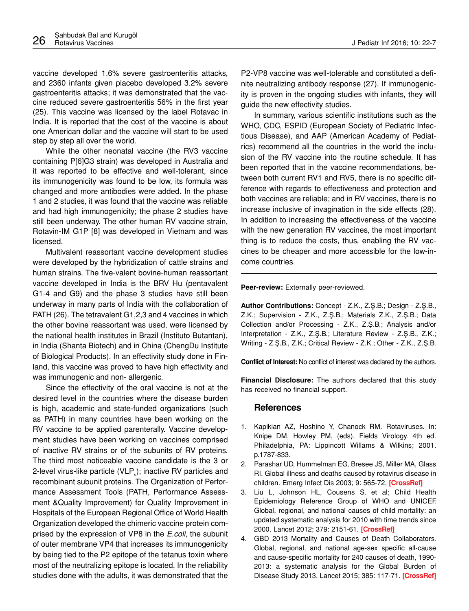vaccine developed 1.6% severe gastroenteritis attacks, and 2360 infants given placebo developed 3.2% severe gastroenteritis attacks; it was demonstrated that the vaccine reduced severe gastroenteritis 56% in the first year (25). This vaccine was licensed by the label Rotavac in India. It is reported that the cost of the vaccine is about one American dollar and the vaccine will start to be used step by step all over the world.

While the other neonatal vaccine (the RV3 vaccine containing P[6]G3 strain) was developed in Australia and it was reported to be effective and well-tolerant, since its immunogenicity was found to be low, its formula was changed and more antibodies were added. In the phase 1 and 2 studies, it was found that the vaccine was reliable and had high immunogenicity; the phase 2 studies have still been underway. The other human RV vaccine strain, Rotavin-IM G1P [8] was developed in Vietnam and was licensed.

Multivalent reassortant vaccine development studies were developed by the hybridization of cattle strains and human strains. The five-valent bovine-human reassortant vaccine developed in India is the BRV Hu (pentavalent G1-4 and G9) and the phase 3 studies have still been underway in many parts of India with the collaboration of PATH (26). The tetravalent G1,2,3 and 4 vaccines in which the other bovine reassortant was used, were licensed by the national health institutes in Brazil (Instituto Butantan), in India (Shanta Biotech) and in China (ChengDu Institute of Biological Products). In an effectivity study done in Finland, this vaccine was proved to have high effectivity and was immunogenic and non- allergenic.

Since the effectivity of the oral vaccine is not at the desired level in the countries where the disease burden is high, academic and state-funded organizations (such as PATH) in many countries have been working on the RV vaccine to be applied parenterally. Vaccine development studies have been working on vaccines comprised of inactive RV strains or of the subunits of RV proteins. The third most noticeable vaccine candidate is the 3 or 2-level virus-like particle (VLP<sub>s</sub>); inactive RV particles and recombinant subunit proteins. The Organization of Performance Assessment Tools (PATH, Performance Assessment &Quality Improvement) for Quality Improvement in Hospitals of the European Regional Office of World Health Organization developed the chimeric vaccine protein comprised by the expression of VP8 in the *E.coli*, the subunit of outer membrane VP4 that increases its immunogenicity by being tied to the P2 epitope of the tetanus toxin where most of the neutralizing epitope is located. In the reliability studies done with the adults, it was demonstrated that the

P2-VP8 vaccine was well-tolerable and constituted a definite neutralizing antibody response (27). If immunogenicity is proven in the ongoing studies with infants, they will guide the new effectivity studies.

In summary, various scientific institutions such as the WHO, CDC, ESPID (European Society of Pediatric Infectious Disease), and AAP (American Academy of Pediatrics) recommend all the countries in the world the inclusion of the RV vaccine into the routine schedule. It has been reported that in the vaccine recommendations, between both current RV1 and RV5, there is no specific difference with regards to effectiveness and protection and both vaccines are reliable; and in RV vaccines, there is no increase inclusive of invagination in the side effects (28). In addition to increasing the effectiveness of the vaccine with the new generation RV vaccines, the most important thing is to reduce the costs, thus, enabling the RV vaccines to be cheaper and more accessible for the low-income countries.

**Peer-review:** Externally peer-reviewed.

**Author Contributions:** Concept - Z.K., Z.Ş.B.; Design - Z.Ş.B., Z.K.; Supervision - Z.K., Z.Ş.B.; Materials Z.K., Z.Ş.B.; Data Collection and/or Processing - Z.K., Z.Ş.B.; Analysis and/or Interpretation - Z.K., Z.Ş.B.; Literature Review - Z.Ş.B., Z.K.; Writing - Z.Ş.B., Z.K.; Critical Review - Z.K.; Other - Z.K., Z.Ş.B.

**Conflict of Interest:** No conflict of interest was declared by the authors.

**Financial Disclosure:** The authors declared that this study has received no financial support.

# **References**

- 1. Kapikian AZ, Hoshino Y, Chanock RM. Rotaviruses. In: Knipe DM, Howley PM, (eds). Fields Virology. 4th ed. Philadelphia, PA: Lippincott Willams & Wilkins; 2001. p.1787-833.
- 2. Parashar UD, Hummelman EG, Bresee JS, Miller MA, Glass RI. Global illness and deaths caused by rotavirus disease in children. Emerg Infect Dis 2003; 9: 565-72. **[\[CrossRef\]](http://dx.doi.org/10.3201/eid0905.020562)**
- 3. Liu L, Johnson HL, Cousens S, et al; Child Health Epidemiology Reference Group of WHO and UNICEF. Global, regional, and national causes of child mortality: an updated systematic analysis for 2010 with time trends since 2000. Lancet 2012; 379: 2151-61. **[\[CrossRef\]](http://dx.doi.org/10.1016/S0140-6736(12)60560-1)**
- 4. GBD 2013 Mortality and Causes of Death Collaborators. Global, regional, and national age-sex specific all-cause and cause-specific mortality for 240 causes of death, 1990- 2013: a systematic analysis for the Global Burden of Disease Study 2013. Lancet 2015; 385: 117-71. **[\[CrossRef\]](http://dx.doi.org/10.1016/S0140-6736(14)61682-2)**